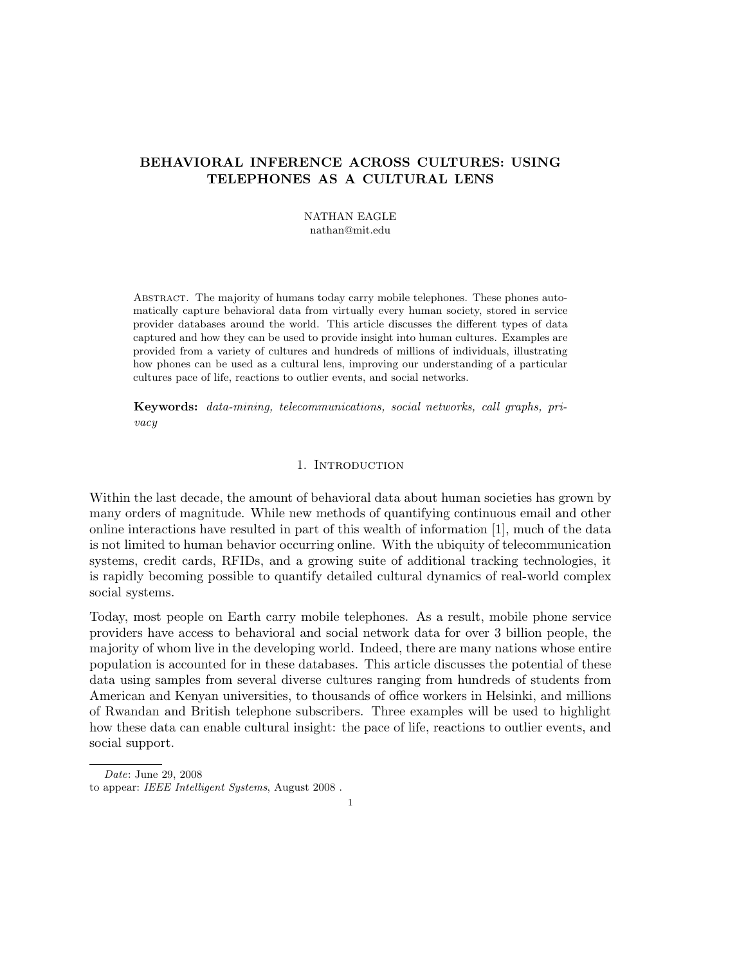# BEHAVIORAL INFERENCE ACROSS CULTURES: USING TELEPHONES AS A CULTURAL LENS

NATHAN EAGLE nathan@mit.edu

Abstract. The majority of humans today carry mobile telephones. These phones automatically capture behavioral data from virtually every human society, stored in service provider databases around the world. This article discusses the different types of data captured and how they can be used to provide insight into human cultures. Examples are provided from a variety of cultures and hundreds of millions of individuals, illustrating how phones can be used as a cultural lens, improving our understanding of a particular cultures pace of life, reactions to outlier events, and social networks.

Keywords: data-mining, telecommunications, social networks, call graphs, privacy

## 1. INTRODUCTION

Within the last decade, the amount of behavioral data about human societies has grown by many orders of magnitude. While new methods of quantifying continuous email and other online interactions have resulted in part of this wealth of information [1], much of the data is not limited to human behavior occurring online. With the ubiquity of telecommunication systems, credit cards, RFIDs, and a growing suite of additional tracking technologies, it is rapidly becoming possible to quantify detailed cultural dynamics of real-world complex social systems.

Today, most people on Earth carry mobile telephones. As a result, mobile phone service providers have access to behavioral and social network data for over 3 billion people, the majority of whom live in the developing world. Indeed, there are many nations whose entire population is accounted for in these databases. This article discusses the potential of these data using samples from several diverse cultures ranging from hundreds of students from American and Kenyan universities, to thousands of office workers in Helsinki, and millions of Rwandan and British telephone subscribers. Three examples will be used to highlight how these data can enable cultural insight: the pace of life, reactions to outlier events, and social support.

Date: June 29, 2008

to appear: IEEE Intelligent Systems, August 2008 .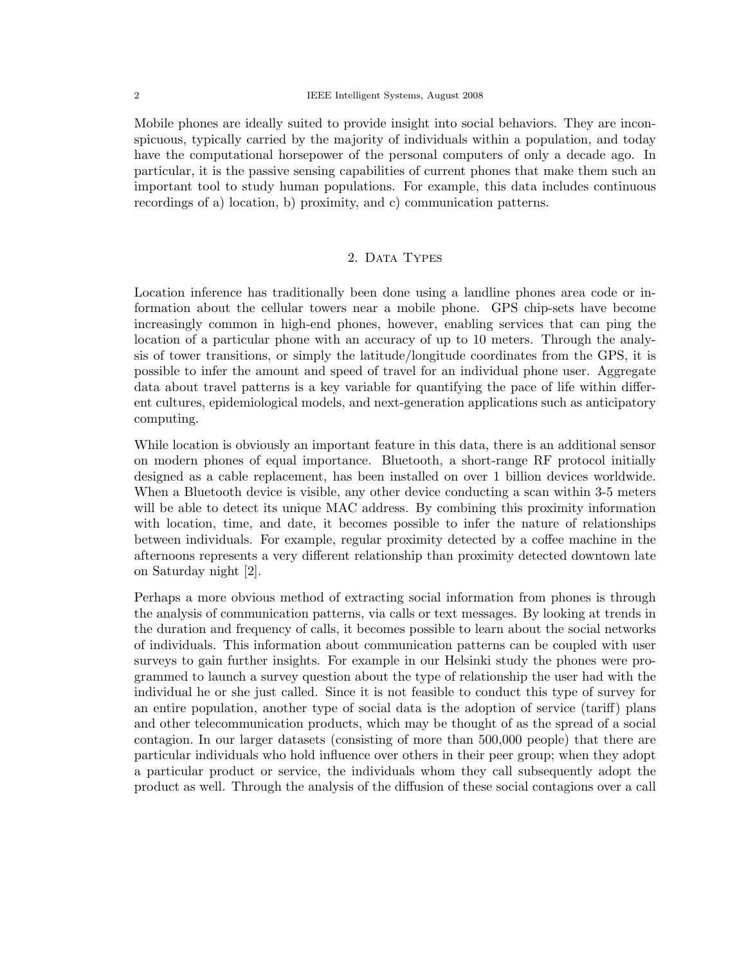Mobile phones are ideally suited to provide insight into social behaviors. They are inconspicuous, typically carried by the majority of individuals within a population, and today have the computational horsepower of the personal computers of only a decade ago. In particular, it is the passive sensing capabilities of current phones that make them such an important tool to study human populations. For example, this data includes continuous recordings of a) location, b) proximity, and c) communication patterns.

### 2. DATA TYPES

Location inference has traditionally been done using a landline phones area code or information about the cellular towers near a mobile phone. GPS chip-sets have become increasingly common in high-end phones, however, enabling services that can ping the location of a particular phone with an accuracy of up to 10 meters. Through the analysis of tower transitions, or simply the latitude/longitude coordinates from the GPS, it is possible to infer the amount and speed of travel for an individual phone user. Aggregate data about travel patterns is a key variable for quantifying the pace of life within different cultures, epidemiological models, and next-generation applications such as anticipatory computing.

While location is obviously an important feature in this data, there is an additional sensor on modern phones of equal importance. Bluetooth, a short-range RF protocol initially designed as a cable replacement, has been installed on over 1 billion devices worldwide. When a Bluetooth device is visible, any other device conducting a scan within 3-5 meters will be able to detect its unique MAC address. By combining this proximity information with location, time, and date, it becomes possible to infer the nature of relationships between individuals. For example, regular proximity detected by a coffee machine in the afternoons represents a very different relationship than proximity detected downtown late on Saturday night [2].

Perhaps a more obvious method of extracting social information from phones is through the analysis of communication patterns, via calls or text messages. By looking at trends in the duration and frequency of calls, it becomes possible to learn about the social networks of individuals. This information about communication patterns can be coupled with user surveys to gain further insights. For example in our Helsinki study the phones were programmed to launch a survey question about the type of relationship the user had with the individual he or she just called. Since it is not feasible to conduct this type of survey for an entire population, another type of social data is the adoption of service (tariff) plans and other telecommunication products, which may be thought of as the spread of a social contagion. In our larger datasets (consisting of more than 500,000 people) that there are particular individuals who hold influence over others in their peer group; when they adopt a particular product or service, the individuals whom they call subsequently adopt the product as well. Through the analysis of the diffusion of these social contagions over a call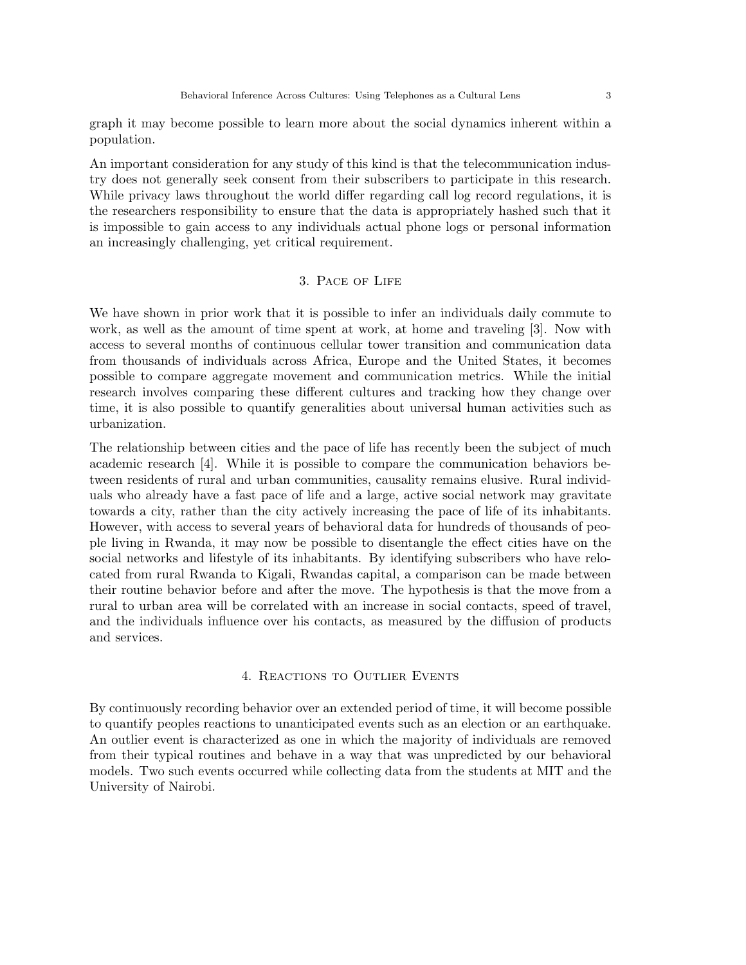graph it may become possible to learn more about the social dynamics inherent within a population.

An important consideration for any study of this kind is that the telecommunication industry does not generally seek consent from their subscribers to participate in this research. While privacy laws throughout the world differ regarding call log record regulations, it is the researchers responsibility to ensure that the data is appropriately hashed such that it is impossible to gain access to any individuals actual phone logs or personal information an increasingly challenging, yet critical requirement.

# 3. Pace of Life

We have shown in prior work that it is possible to infer an individuals daily commute to work, as well as the amount of time spent at work, at home and traveling [3]. Now with access to several months of continuous cellular tower transition and communication data from thousands of individuals across Africa, Europe and the United States, it becomes possible to compare aggregate movement and communication metrics. While the initial research involves comparing these different cultures and tracking how they change over time, it is also possible to quantify generalities about universal human activities such as urbanization.

The relationship between cities and the pace of life has recently been the subject of much academic research [4]. While it is possible to compare the communication behaviors between residents of rural and urban communities, causality remains elusive. Rural individuals who already have a fast pace of life and a large, active social network may gravitate towards a city, rather than the city actively increasing the pace of life of its inhabitants. However, with access to several years of behavioral data for hundreds of thousands of people living in Rwanda, it may now be possible to disentangle the effect cities have on the social networks and lifestyle of its inhabitants. By identifying subscribers who have relocated from rural Rwanda to Kigali, Rwandas capital, a comparison can be made between their routine behavior before and after the move. The hypothesis is that the move from a rural to urban area will be correlated with an increase in social contacts, speed of travel, and the individuals influence over his contacts, as measured by the diffusion of products and services.

#### 4. Reactions to Outlier Events

By continuously recording behavior over an extended period of time, it will become possible to quantify peoples reactions to unanticipated events such as an election or an earthquake. An outlier event is characterized as one in which the majority of individuals are removed from their typical routines and behave in a way that was unpredicted by our behavioral models. Two such events occurred while collecting data from the students at MIT and the University of Nairobi.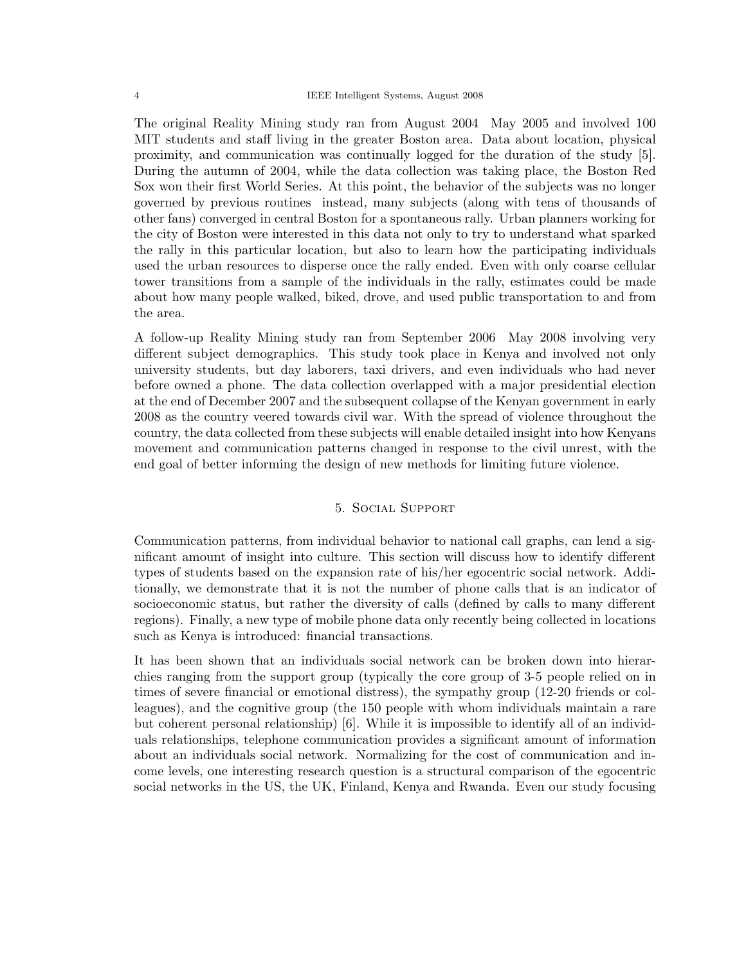The original Reality Mining study ran from August 2004 May 2005 and involved 100 MIT students and staff living in the greater Boston area. Data about location, physical proximity, and communication was continually logged for the duration of the study [5]. During the autumn of 2004, while the data collection was taking place, the Boston Red Sox won their first World Series. At this point, the behavior of the subjects was no longer governed by previous routines instead, many subjects (along with tens of thousands of other fans) converged in central Boston for a spontaneous rally. Urban planners working for the city of Boston were interested in this data not only to try to understand what sparked the rally in this particular location, but also to learn how the participating individuals used the urban resources to disperse once the rally ended. Even with only coarse cellular tower transitions from a sample of the individuals in the rally, estimates could be made about how many people walked, biked, drove, and used public transportation to and from the area.

A follow-up Reality Mining study ran from September 2006 May 2008 involving very different subject demographics. This study took place in Kenya and involved not only university students, but day laborers, taxi drivers, and even individuals who had never before owned a phone. The data collection overlapped with a major presidential election at the end of December 2007 and the subsequent collapse of the Kenyan government in early 2008 as the country veered towards civil war. With the spread of violence throughout the country, the data collected from these subjects will enable detailed insight into how Kenyans movement and communication patterns changed in response to the civil unrest, with the end goal of better informing the design of new methods for limiting future violence.

#### 5. Social Support

Communication patterns, from individual behavior to national call graphs, can lend a significant amount of insight into culture. This section will discuss how to identify different types of students based on the expansion rate of his/her egocentric social network. Additionally, we demonstrate that it is not the number of phone calls that is an indicator of socioeconomic status, but rather the diversity of calls (defined by calls to many different regions). Finally, a new type of mobile phone data only recently being collected in locations such as Kenya is introduced: financial transactions.

It has been shown that an individuals social network can be broken down into hierarchies ranging from the support group (typically the core group of 3-5 people relied on in times of severe financial or emotional distress), the sympathy group (12-20 friends or colleagues), and the cognitive group (the 150 people with whom individuals maintain a rare but coherent personal relationship) [6]. While it is impossible to identify all of an individuals relationships, telephone communication provides a significant amount of information about an individuals social network. Normalizing for the cost of communication and income levels, one interesting research question is a structural comparison of the egocentric social networks in the US, the UK, Finland, Kenya and Rwanda. Even our study focusing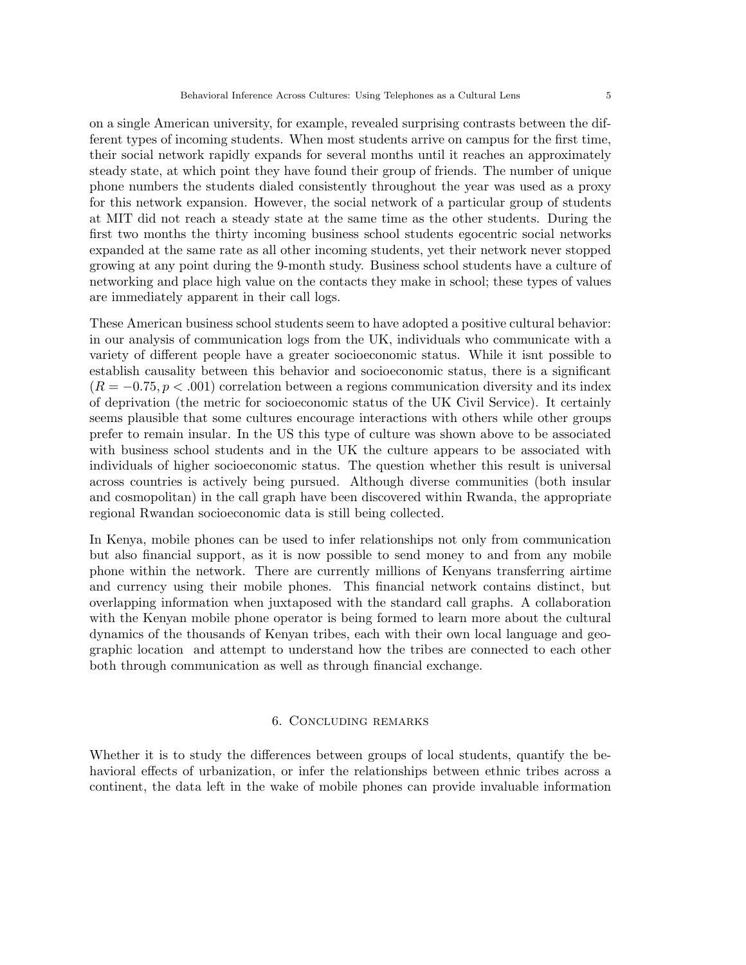on a single American university, for example, revealed surprising contrasts between the different types of incoming students. When most students arrive on campus for the first time, their social network rapidly expands for several months until it reaches an approximately steady state, at which point they have found their group of friends. The number of unique phone numbers the students dialed consistently throughout the year was used as a proxy for this network expansion. However, the social network of a particular group of students at MIT did not reach a steady state at the same time as the other students. During the first two months the thirty incoming business school students egocentric social networks expanded at the same rate as all other incoming students, yet their network never stopped growing at any point during the 9-month study. Business school students have a culture of networking and place high value on the contacts they make in school; these types of values are immediately apparent in their call logs.

These American business school students seem to have adopted a positive cultural behavior: in our analysis of communication logs from the UK, individuals who communicate with a variety of different people have a greater socioeconomic status. While it isnt possible to establish causality between this behavior and socioeconomic status, there is a significant  $(R = -0.75, p < .001)$  correlation between a regions communication diversity and its index of deprivation (the metric for socioeconomic status of the UK Civil Service). It certainly seems plausible that some cultures encourage interactions with others while other groups prefer to remain insular. In the US this type of culture was shown above to be associated with business school students and in the UK the culture appears to be associated with individuals of higher socioeconomic status. The question whether this result is universal across countries is actively being pursued. Although diverse communities (both insular and cosmopolitan) in the call graph have been discovered within Rwanda, the appropriate regional Rwandan socioeconomic data is still being collected.

In Kenya, mobile phones can be used to infer relationships not only from communication but also financial support, as it is now possible to send money to and from any mobile phone within the network. There are currently millions of Kenyans transferring airtime and currency using their mobile phones. This financial network contains distinct, but overlapping information when juxtaposed with the standard call graphs. A collaboration with the Kenyan mobile phone operator is being formed to learn more about the cultural dynamics of the thousands of Kenyan tribes, each with their own local language and geographic location and attempt to understand how the tribes are connected to each other both through communication as well as through financial exchange.

#### 6. Concluding remarks

Whether it is to study the differences between groups of local students, quantify the behavioral effects of urbanization, or infer the relationships between ethnic tribes across a continent, the data left in the wake of mobile phones can provide invaluable information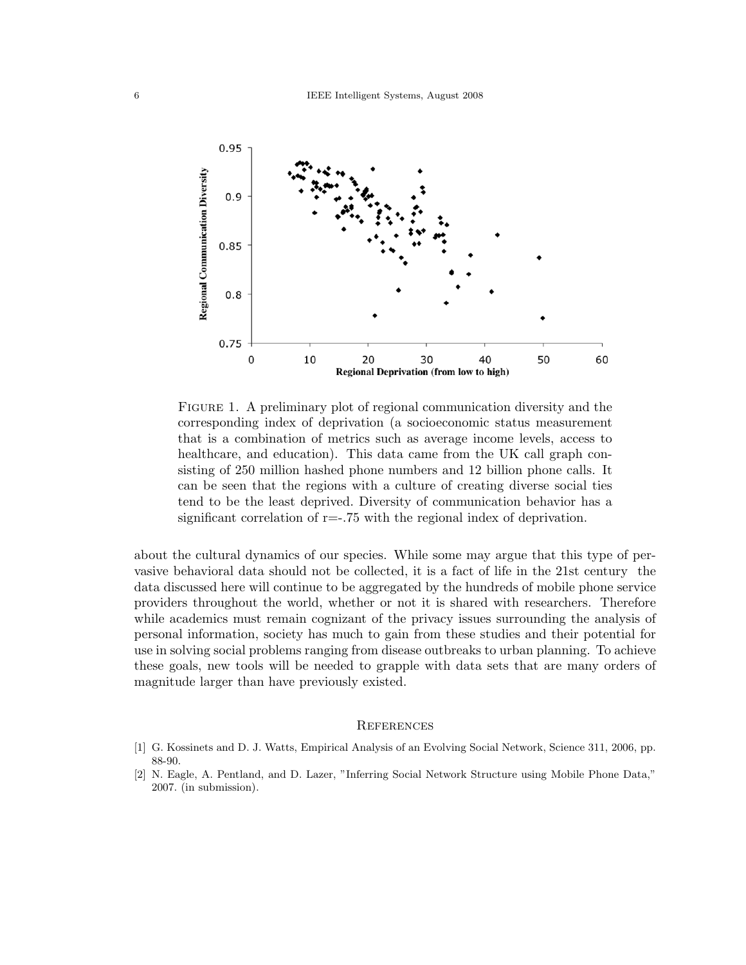

Figure 1. A preliminary plot of regional communication diversity and the corresponding index of deprivation (a socioeconomic status measurement that is a combination of metrics such as average income levels, access to healthcare, and education). This data came from the UK call graph consisting of 250 million hashed phone numbers and 12 billion phone calls. It can be seen that the regions with a culture of creating diverse social ties tend to be the least deprived. Diversity of communication behavior has a significant correlation of  $r=-.75$  with the regional index of deprivation.

about the cultural dynamics of our species. While some may argue that this type of pervasive behavioral data should not be collected, it is a fact of life in the 21st century the data discussed here will continue to be aggregated by the hundreds of mobile phone service providers throughout the world, whether or not it is shared with researchers. Therefore while academics must remain cognizant of the privacy issues surrounding the analysis of personal information, society has much to gain from these studies and their potential for use in solving social problems ranging from disease outbreaks to urban planning. To achieve these goals, new tools will be needed to grapple with data sets that are many orders of magnitude larger than have previously existed.

#### **REFERENCES**

- [1] G. Kossinets and D. J. Watts, Empirical Analysis of an Evolving Social Network, Science 311, 2006, pp. 88-90.
- [2] N. Eagle, A. Pentland, and D. Lazer, "Inferring Social Network Structure using Mobile Phone Data," 2007. (in submission).